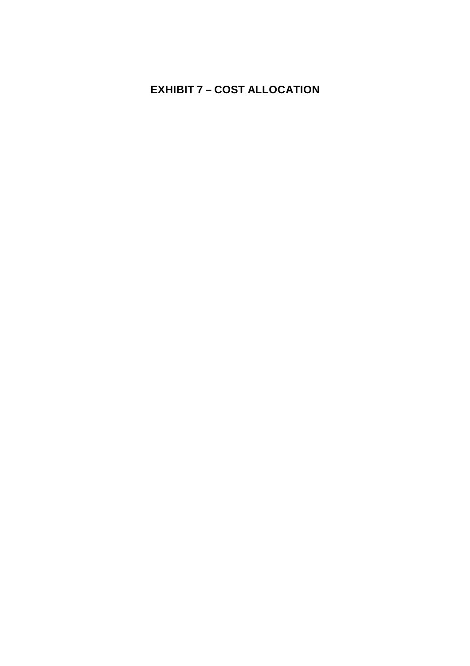### **EXHIBIT 7 – COST ALLOCATION**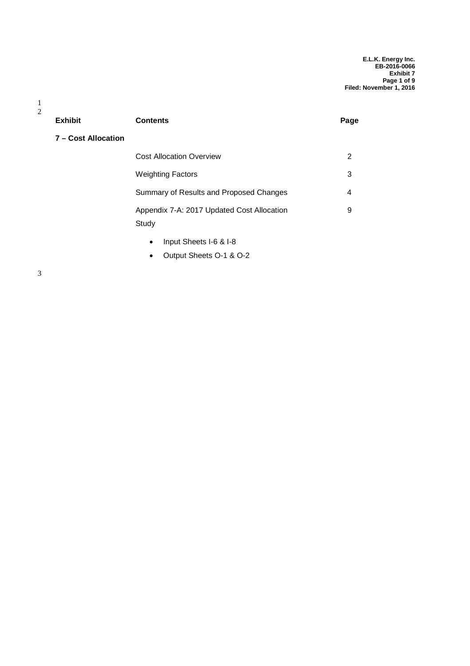**E.L.K. Energy Inc. EB-2016-0066 Exhibit 7 Page 1 of 9 Filed: November 1, 2016**

| <b>Exhibit</b>      | <b>Contents</b>                                     | Page |
|---------------------|-----------------------------------------------------|------|
| 7 - Cost Allocation |                                                     |      |
|                     | <b>Cost Allocation Overview</b>                     | 2    |
|                     | <b>Weighting Factors</b>                            | 3    |
|                     | Summary of Results and Proposed Changes             | 4    |
|                     | Appendix 7-A: 2017 Updated Cost Allocation<br>Study | 9    |
|                     | .                                                   |      |

- Input Sheets I-6 & I-8
- Output Sheets O-1 & O-2

1 2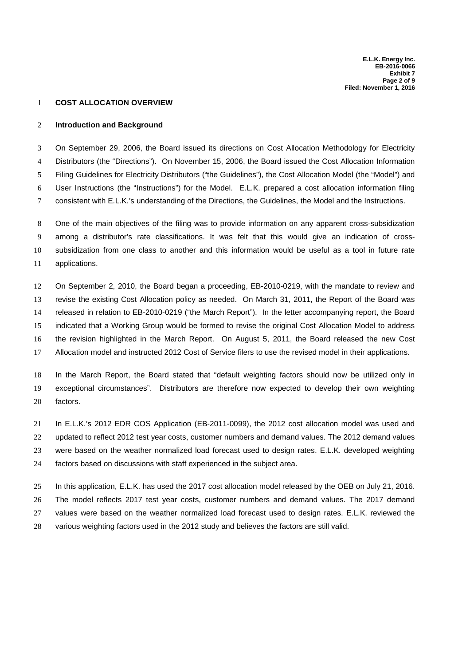#### **COST ALLOCATION OVERVIEW**

#### **Introduction and Background**

 On September 29, 2006, the Board issued its directions on Cost Allocation Methodology for Electricity Distributors (the "Directions"). On November 15, 2006, the Board issued the Cost Allocation Information Filing Guidelines for Electricity Distributors ("the Guidelines"), the Cost Allocation Model (the "Model") and User Instructions (the "Instructions") for the Model. E.L.K. prepared a cost allocation information filing consistent with E.L.K.'s understanding of the Directions, the Guidelines, the Model and the Instructions.

 One of the main objectives of the filing was to provide information on any apparent cross-subsidization among a distributor's rate classifications. It was felt that this would give an indication of cross- subsidization from one class to another and this information would be useful as a tool in future rate applications.

 On September 2, 2010, the Board began a proceeding, EB-2010-0219, with the mandate to review and revise the existing Cost Allocation policy as needed. On March 31, 2011, the Report of the Board was released in relation to EB-2010-0219 ("the March Report"). In the letter accompanying report, the Board indicated that a Working Group would be formed to revise the original Cost Allocation Model to address the revision highlighted in the March Report. On August 5, 2011, the Board released the new Cost Allocation model and instructed 2012 Cost of Service filers to use the revised model in their applications.

 In the March Report, the Board stated that "default weighting factors should now be utilized only in exceptional circumstances". Distributors are therefore now expected to develop their own weighting factors.

 In E.L.K.'s 2012 EDR COS Application (EB-2011-0099), the 2012 cost allocation model was used and updated to reflect 2012 test year costs, customer numbers and demand values. The 2012 demand values were based on the weather normalized load forecast used to design rates. E.L.K. developed weighting factors based on discussions with staff experienced in the subject area.

 In this application, E.L.K. has used the 2017 cost allocation model released by the OEB on July 21, 2016. The model reflects 2017 test year costs, customer numbers and demand values. The 2017 demand values were based on the weather normalized load forecast used to design rates. E.L.K. reviewed the various weighting factors used in the 2012 study and believes the factors are still valid.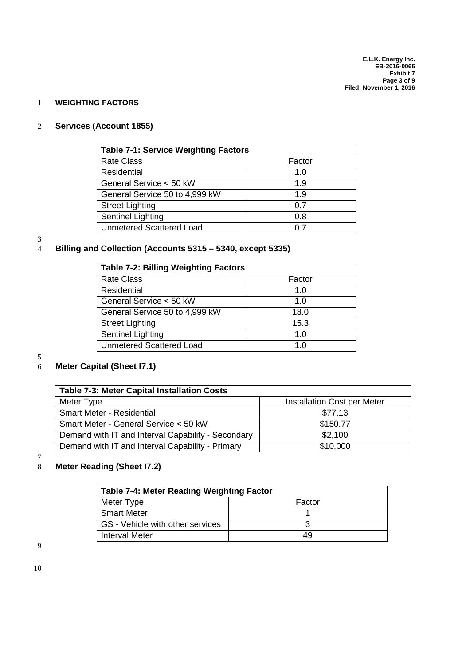#### 1 **WEIGHTING FACTORS**

#### 2 **Services (Account 1855)**

| <b>Table 7-1: Service Weighting Factors</b> |        |  |  |  |
|---------------------------------------------|--------|--|--|--|
| <b>Rate Class</b>                           | Factor |  |  |  |
| Residential                                 | 1.0    |  |  |  |
| General Service < 50 kW                     | 1.9    |  |  |  |
| General Service 50 to 4,999 kW              | 1.9    |  |  |  |
| <b>Street Lighting</b>                      | 0.7    |  |  |  |
| Sentinel Lighting                           | 0.8    |  |  |  |
| <b>Unmetered Scattered Load</b>             | 0.7    |  |  |  |

### $\frac{3}{4}$

#### 4 **Billing and Collection (Accounts 5315 – 5340, except 5335)**

| <b>Table 7-2: Billing Weighting Factors</b> |        |  |  |  |  |
|---------------------------------------------|--------|--|--|--|--|
| <b>Rate Class</b>                           | Factor |  |  |  |  |
| Residential                                 | 1.0    |  |  |  |  |
| General Service < 50 kW                     | 1.0    |  |  |  |  |
| General Service 50 to 4,999 kW              | 18.0   |  |  |  |  |
| <b>Street Lighting</b>                      | 15.3   |  |  |  |  |
| Sentinel Lighting                           | 1.0    |  |  |  |  |
| <b>Unmetered Scattered Load</b>             | 1.0    |  |  |  |  |

#### 5

#### 6 **Meter Capital (Sheet I7.1)**

| <b>Table 7-3: Meter Capital Installation Costs</b> |                             |  |  |  |  |
|----------------------------------------------------|-----------------------------|--|--|--|--|
| Meter Type                                         | Installation Cost per Meter |  |  |  |  |
| <b>Smart Meter - Residential</b>                   | \$77.13                     |  |  |  |  |
| Smart Meter - General Service < 50 kW              | \$150.77                    |  |  |  |  |
| Demand with IT and Interval Capability - Secondary | \$2,100                     |  |  |  |  |
| Demand with IT and Interval Capability - Primary   | \$10,000                    |  |  |  |  |

 $\begin{array}{c} 7 \\ 8 \end{array}$ 

#### **Meter Reading (Sheet I7.2)**

| <b>Table 7-4: Meter Reading Weighting Factor</b> |    |  |  |  |
|--------------------------------------------------|----|--|--|--|
| Meter Type<br>Factor                             |    |  |  |  |
| <b>Smart Meter</b>                               |    |  |  |  |
| GS - Vehicle with other services                 |    |  |  |  |
| <b>Interval Meter</b>                            | 49 |  |  |  |

9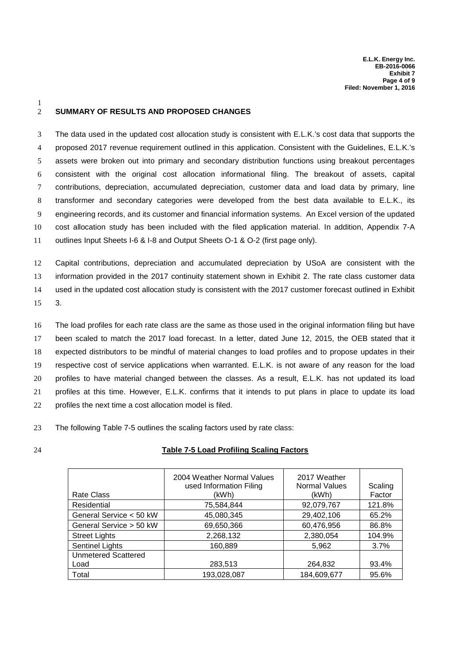#### 2 **SUMMARY OF RESULTS AND PROPOSED CHANGES**

 The data used in the updated cost allocation study is consistent with E.L.K.'s cost data that supports the proposed 2017 revenue requirement outlined in this application. Consistent with the Guidelines, E.L.K.'s assets were broken out into primary and secondary distribution functions using breakout percentages consistent with the original cost allocation informational filing. The breakout of assets, capital contributions, depreciation, accumulated depreciation, customer data and load data by primary, line transformer and secondary categories were developed from the best data available to E.L.K., its engineering records, and its customer and financial information systems. An Excel version of the updated cost allocation study has been included with the filed application material. In addition, Appendix 7-A outlines Input Sheets I-6 & I-8 and Output Sheets O-1 & O-2 (first page only).

 Capital contributions, depreciation and accumulated depreciation by USoA are consistent with the information provided in the 2017 continuity statement shown in Exhibit 2. The rate class customer data used in the updated cost allocation study is consistent with the 2017 customer forecast outlined in Exhibit 15 3.

 The load profiles for each rate class are the same as those used in the original information filing but have been scaled to match the 2017 load forecast. In a letter, dated June 12, 2015, the OEB stated that it expected distributors to be mindful of material changes to load profiles and to propose updates in their respective cost of service applications when warranted. E.L.K. is not aware of any reason for the load profiles to have material changed between the classes. As a result, E.L.K. has not updated its load profiles at this time. However, E.L.K. confirms that it intends to put plans in place to update its load profiles the next time a cost allocation model is filed.

23 The following Table 7-5 outlines the scaling factors used by rate class:

1

#### 24 **Table 7-5 Load Profiling Scaling Factors**

| <b>Rate Class</b>          | 2004 Weather Normal Values<br>used Information Filing<br>(kWh) | 2017 Weather<br><b>Normal Values</b><br>(kWh) | Scaling<br>Factor |
|----------------------------|----------------------------------------------------------------|-----------------------------------------------|-------------------|
| Residential                | 75,584,844                                                     | 92,079,767                                    | 121.8%            |
| General Service < 50 kW    | 45,080,345                                                     | 29,402,106                                    | 65.2%             |
| General Service > 50 kW    | 69,650,366                                                     | 60,476,956                                    | 86.8%             |
| <b>Street Lights</b>       | 2,268,132                                                      | 2,380,054                                     | 104.9%            |
| <b>Sentinel Lights</b>     | 160,889                                                        | 5,962                                         | 3.7%              |
| <b>Unmetered Scattered</b> |                                                                |                                               |                   |
| Load                       | 283,513                                                        | 264,832                                       | 93.4%             |
| Total                      | 193,028,087                                                    | 184,609,677                                   | 95.6%             |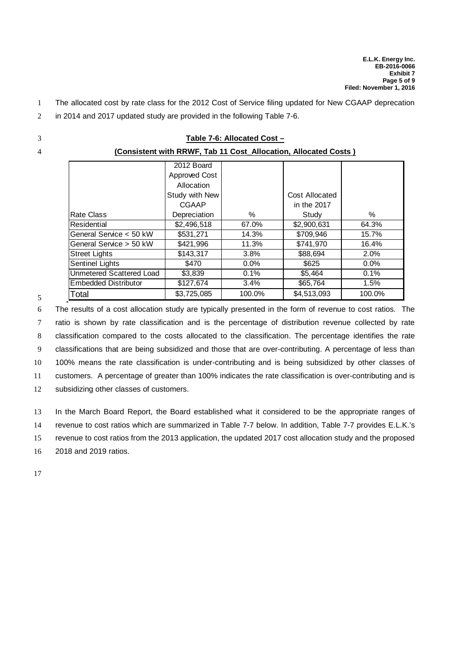- 1 The allocated cost by rate class for the 2012 Cost of Service filing updated for New CGAAP deprecation
- 2 in 2014 and 2017 updated study are provided in the following Table 7-6.
- 
- 

5

| 3 |                                 |                                                                                    | Table 7-6: Allocated Cost -                                     |                               |         |
|---|---------------------------------|------------------------------------------------------------------------------------|-----------------------------------------------------------------|-------------------------------|---------|
| 4 |                                 |                                                                                    | (Consistent with RRWF, Tab 11 Cost Allocation, Allocated Costs) |                               |         |
|   |                                 | 2012 Board<br><b>Approved Cost</b><br>Allocation<br>Study with New<br><b>CGAAP</b> |                                                                 | Cost Allocated<br>in the 2017 |         |
|   | Rate Class                      | Depreciation                                                                       | %                                                               | Study                         | $\%$    |
|   | Residential                     | \$2,496,518                                                                        | 67.0%                                                           | \$2,900,631                   | 64.3%   |
|   | General Service < 50 kW         | \$531,271                                                                          | 14.3%                                                           | \$709,946                     | 15.7%   |
|   | General Service > 50 kW         | \$421,996                                                                          | 11.3%                                                           | \$741,970                     | 16.4%   |
|   | Street Lights                   | \$143,317                                                                          | 3.8%                                                            | \$88,694                      | 2.0%    |
|   | Sentinel Lights                 | \$470                                                                              | $0.0\%$                                                         | \$625                         | $0.0\%$ |
|   | <b>Unmetered Scattered Load</b> | \$3,839                                                                            | 0.1%                                                            | \$5,464                       | 0.1%    |
|   | <b>Embedded Distributor</b>     | \$127,674                                                                          | 3.4%                                                            | \$65,764                      | 1.5%    |
| 5 | Total                           | \$3,725,085                                                                        | 100.0%                                                          | \$4,513,093                   | 100.0%  |

 The results of a cost allocation study are typically presented in the form of revenue to cost ratios. The ratio is shown by rate classification and is the percentage of distribution revenue collected by rate classification compared to the costs allocated to the classification. The percentage identifies the rate classifications that are being subsidized and those that are over-contributing. A percentage of less than 100% means the rate classification is under-contributing and is being subsidized by other classes of customers. A percentage of greater than 100% indicates the rate classification is over-contributing and is 12 subsidizing other classes of customers.

 In the March Board Report, the Board established what it considered to be the appropriate ranges of revenue to cost ratios which are summarized in Table 7-7 below. In addition, Table 7-7 provides E.L.K.'s revenue to cost ratios from the 2013 application, the updated 2017 cost allocation study and the proposed 2018 and 2019 ratios.

17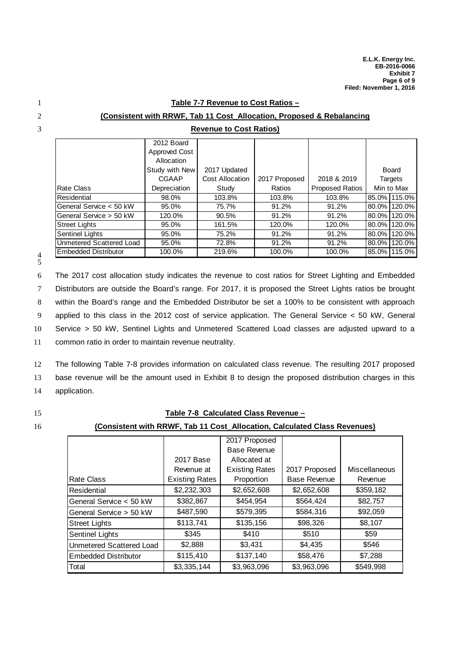#### 1 **Table 7-7 Revenue to Cost Ratios –**

3 **Revenue to Cost Ratios)**

| (Consistent with RRWF, Tab 11 Cost Allocation, Proposed & Rebalancing |  |  |
|-----------------------------------------------------------------------|--|--|
|                                                                       |  |  |

|                             | 2012 Board     |                        |               |                        |          |                |
|-----------------------------|----------------|------------------------|---------------|------------------------|----------|----------------|
|                             | Approved Cost  |                        |               |                        |          |                |
|                             | Allocation     |                        |               |                        |          |                |
|                             | Study with New | 2017 Updated           |               |                        |          | Board          |
|                             | CGAAP          | <b>Cost Allocation</b> | 2017 Proposed | 2018 & 2019            |          | <b>Targets</b> |
| Rate Class                  | Depreciation   | Study                  | Ratios        | <b>Proposed Ratios</b> |          | Min to Max     |
| Residential                 | 98.0%          | 103.8%                 | 103.8%        | 103.8%                 |          | 85.0% 115.0%   |
| General Service < 50 kW     | 95.0%          | 75.7%                  | 91.2%         | 91.2%                  | $80.0\%$ | 120.0%         |
| General Service > 50 kW     | 120.0%         | 90.5%                  | 91.2%         | 91.2%                  |          | 80.0% 120.0%   |
| <b>Street Lights</b>        | 95.0%          | 161.5%                 | 120.0%        | 120.0%                 | $80.0\%$ | 120.0%         |
| Sentinel Lights             | 95.0%          | 75.2%                  | 91.2%         | 91.2%                  | $80.0\%$ | 120.0%         |
| Unmetered Scattered Load    | 95.0%          | 72.8%                  | 91.2%         | 91.2%                  | 80.0%    | 120.0%         |
| <b>Embedded Distributor</b> | 100.0%         | 219.6%                 | 100.0%        | 100.0%                 |          | 85.0% 115.0%   |

4 5

 The 2017 cost allocation study indicates the revenue to cost ratios for Street Lighting and Embedded Distributors are outside the Board's range. For 2017, it is proposed the Street Lights ratios be brought within the Board's range and the Embedded Distributor be set a 100% to be consistent with approach applied to this class in the 2012 cost of service application. The General Service < 50 kW, General Service > 50 kW, Sentinel Lights and Unmetered Scattered Load classes are adjusted upward to a

11 common ratio in order to maintain revenue neutrality.

12 The following Table 7-8 provides information on calculated class revenue. The resulting 2017 proposed 13 base revenue will be the amount used in Exhibit 8 to design the proposed distribution charges in this 14 application.

#### 15 **Table 7-8 Calculated Class Revenue –**

#### 16 **(Consistent with RRWF, Tab 11 Cost\_Allocation, Calculated Class Revenues)**

|                          |                       | 2017 Proposed         |                     |                      |
|--------------------------|-----------------------|-----------------------|---------------------|----------------------|
|                          |                       | <b>Base Revenue</b>   |                     |                      |
|                          | 2017 Base             | Allocated at          |                     |                      |
|                          | Revenue at            | <b>Existing Rates</b> | 2017 Proposed       | <b>Miscellaneous</b> |
| Rate Class               | <b>Existing Rates</b> | Proportion            | <b>Base Revenue</b> | Revenue              |
| Residential              | \$2,232,303           | \$2,652,608           | \$2,652,608         | \$359,182            |
| General Service < 50 kW  | \$382,867             | \$454,954             | \$564,424           | \$82,757             |
| General Service > 50 kW  | \$487,590             | \$579,395             | \$584,316           | \$92,059             |
| Street Lights            | \$113,741             | \$135,156             | \$98,326            | \$8,107              |
| <b>Sentinel Lights</b>   | \$345                 | \$410                 | \$510               | \$59                 |
| Unmetered Scattered Load | \$2,888               | \$3.431               | \$4,435             | \$546                |
| lEmbedded Distributor    | \$115,410             | \$137,140             | \$58,476            | \$7,288              |
| Total                    | \$3,335,144           | \$3,963,096           | \$3,963,096         | \$549,998            |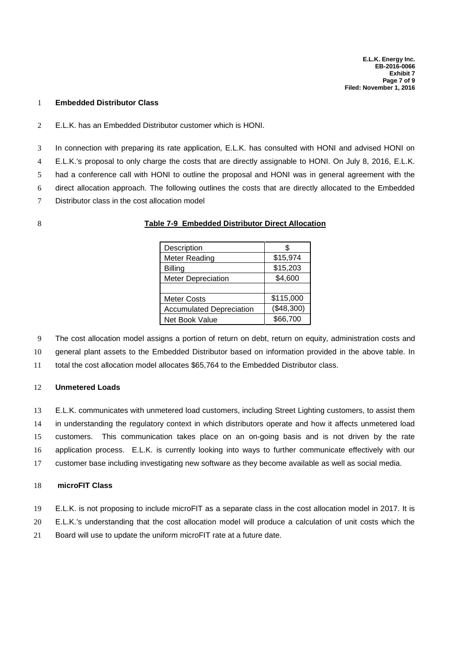#### **Embedded Distributor Class**

E.L.K. has an Embedded Distributor customer which is HONI.

 In connection with preparing its rate application, E.L.K. has consulted with HONI and advised HONI on E.L.K.'s proposal to only charge the costs that are directly assignable to HONI. On July 8, 2016, E.L.K. had a conference call with HONI to outline the proposal and HONI was in general agreement with the direct allocation approach. The following outlines the costs that are directly allocated to the Embedded Distributor class in the cost allocation model

#### **Table 7-9 Embedded Distributor Direct Allocation**

| Description                     |            |  |
|---------------------------------|------------|--|
| Meter Reading                   | \$15,974   |  |
| <b>Billing</b>                  | \$15,203   |  |
| Meter Depreciation              | \$4,600    |  |
|                                 |            |  |
| <b>Meter Costs</b>              | \$115,000  |  |
| <b>Accumulated Depreciation</b> | (\$48,300) |  |
| <b>Net Book Value</b>           | \$66,700   |  |

The cost allocation model assigns a portion of return on debt, return on equity, administration costs and

general plant assets to the Embedded Distributor based on information provided in the above table. In

total the cost allocation model allocates \$65,764 to the Embedded Distributor class.

#### **Unmetered Loads**

 E.L.K. communicates with unmetered load customers, including Street Lighting customers, to assist them in understanding the regulatory context in which distributors operate and how it affects unmetered load customers. This communication takes place on an on-going basis and is not driven by the rate application process. E.L.K. is currently looking into ways to further communicate effectively with our customer base including investigating new software as they become available as well as social media.

#### **microFIT Class**

- E.L.K. is not proposing to include microFIT as a separate class in the cost allocation model in 2017. It is
- E.L.K.'s understanding that the cost allocation model will produce a calculation of unit costs which the
- Board will use to update the uniform microFIT rate at a future date.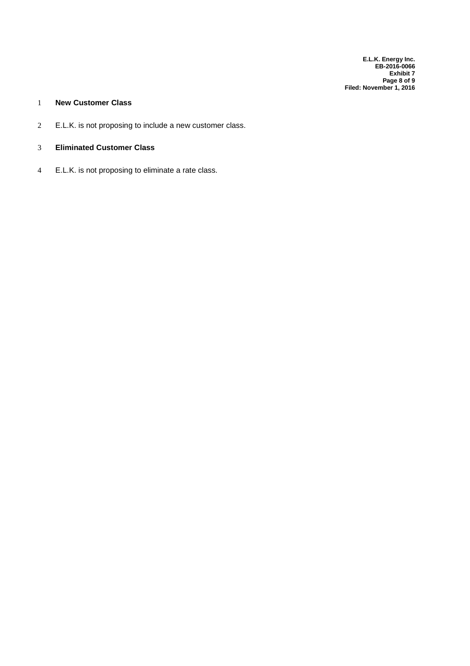**E.L.K. Energy Inc. EB-2016-0066 Exhibit 7 Page 8 of 9 Filed: November 1, 2016**

#### 1 **New Customer Class**

- 2 E.L.K. is not proposing to include a new customer class.
- 3 **Eliminated Customer Class**
- 4 E.L.K. is not proposing to eliminate a rate class.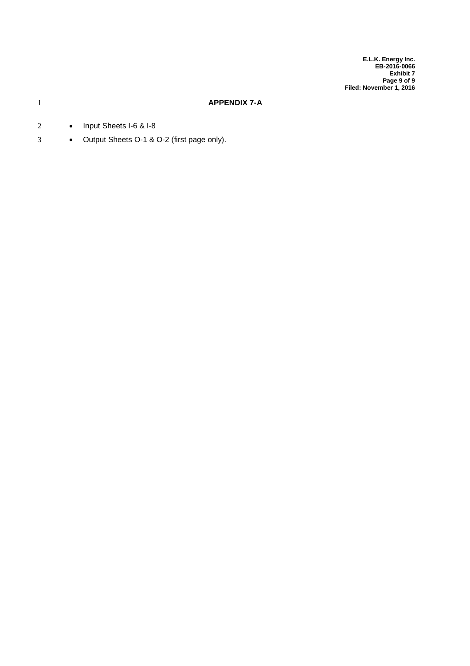**E.L.K. Energy Inc. EB-2016-0066 Exhibit 7 Page 9 of 9 Filed: November 1, 2016**

#### 1 **APPENDIX 7-A**

- 2 Input Sheets I-6 & I-8
- 3 **•** Output Sheets O-1 & O-2 (first page only).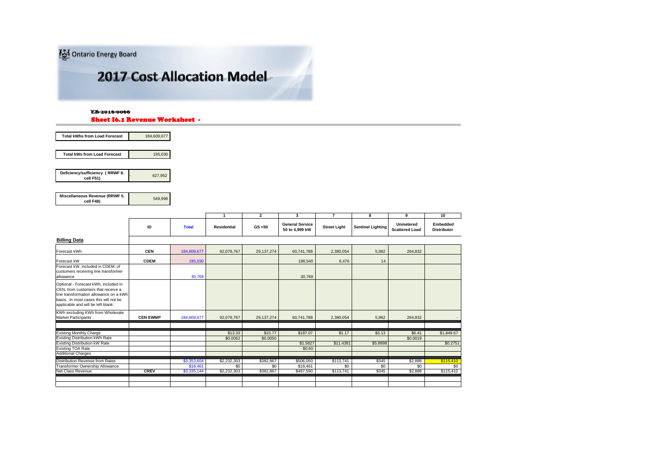Ontario Energy Board

### **2017 Cost Allocation Model**

#### Sheet I6.1 Revenue Worksheet -EB-2016-0066

| 184,609,677 |
|-------------|
|             |
| 195.030     |
|             |

| Deficiency/sufficiency (RRWF 8.<br>cell F51) | 627.952 |
|----------------------------------------------|---------|

**Miscellaneous Revenue (RRWF 5. cell F48)** 549,998

|                                                                                                                                                                                                     |                 |              | $\overline{1}$     | $\overline{2}$ | 3                                        | 7                   | 8                        | 9                                         | $\overline{10}$                       |
|-----------------------------------------------------------------------------------------------------------------------------------------------------------------------------------------------------|-----------------|--------------|--------------------|----------------|------------------------------------------|---------------------|--------------------------|-------------------------------------------|---------------------------------------|
|                                                                                                                                                                                                     | ID              | <b>Total</b> | <b>Residential</b> | GS < 50        | <b>General Service</b><br>50 to 4.999 kW | <b>Street Light</b> | <b>Sentinel Lighting</b> | <b>Unmetered</b><br><b>Scattered Load</b> | <b>Embedded</b><br><b>Distributor</b> |
| <b>Billing Data</b>                                                                                                                                                                                 |                 |              |                    |                |                                          |                     |                          |                                           |                                       |
| Forecast kWh                                                                                                                                                                                        | <b>CEN</b>      | 184,609,677  | 92,079,767         | 29, 137, 274   | 60,741,788                               | 2,380,054           | 5,962                    | 264,832                                   |                                       |
| Forecast kW                                                                                                                                                                                         | <b>CDEM</b>     | 195,030      |                    |                | 188,540                                  | 6,476               | 14                       |                                           |                                       |
| Forecast kW, included in CDEM, of<br>customers receiving line transformer<br>allowance                                                                                                              |                 | 30,768       |                    |                | 30,768                                   |                     |                          |                                           |                                       |
| Optional - Forecast kWh, included in<br>CEN, from customers that receive a<br>line transformation allowance on a kWh<br>basis. In most cases this will not be<br>applicable and will be left blank. |                 |              |                    |                |                                          |                     |                          |                                           |                                       |
| KWh excluding KWh from Wholesale<br><b>Market Participants</b>                                                                                                                                      | <b>CEN EWMP</b> | 184,609,677  | 92,079,767         | 29, 137, 274   | 60,741,788                               | 2,380,054           | 5,962                    | 264,832                                   |                                       |
| <b>Existing Monthly Charge</b>                                                                                                                                                                      |                 |              | \$13.33            | \$15.77        | \$187.07                                 | \$1.17              | \$3.13                   | \$6.41                                    | \$1,849.67                            |
| Existing Distribution kWh Rate                                                                                                                                                                      |                 |              | \$0.0062           | \$0.0050       |                                          |                     |                          | \$0.0019                                  |                                       |
| <b>Existing Distribution kW Rate</b>                                                                                                                                                                |                 |              |                    |                | \$1,5827                                 | \$11,4381           | \$5,8898                 |                                           | \$0.2751                              |
| <b>Existing TOA Rate</b>                                                                                                                                                                            |                 |              |                    |                | \$0.60                                   |                     |                          |                                           |                                       |
| <b>Additional Charges</b>                                                                                                                                                                           |                 |              |                    |                |                                          |                     |                          |                                           |                                       |
| Distribution Revenue from Rates                                                                                                                                                                     |                 | \$3,353,604  | \$2,232,303        | \$382,867      | \$506,050                                | \$113,741           | \$345                    | \$2,888                                   | \$115,410                             |
| Transformer Ownership Allowance                                                                                                                                                                     |                 | \$18,461     | \$0                | \$0            | \$18,461                                 | \$0                 | \$0                      | \$0                                       | \$0                                   |
| Net Class Revenue                                                                                                                                                                                   | <b>CREV</b>     | \$3,335,144  | \$2,232,303        | \$382,867      | \$487,590                                | \$113,741           | \$345                    | \$2,888                                   | \$115,410                             |
|                                                                                                                                                                                                     |                 |              |                    |                |                                          |                     |                          |                                           |                                       |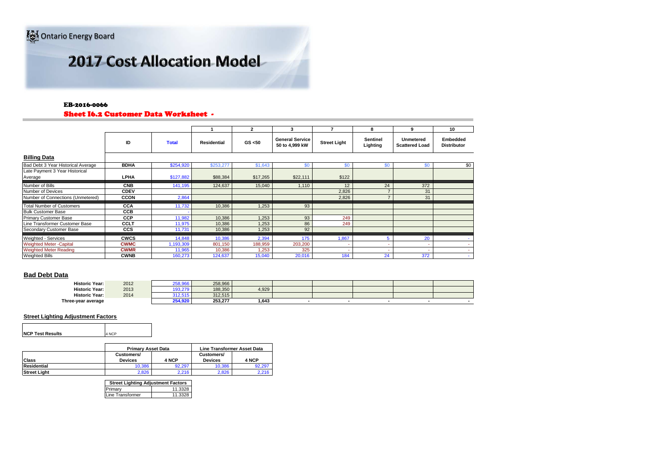#### EB-2016-0066

#### Sheet I6.2 Customer Data Worksheet -

|                                           |             |              |                    | $\overline{2}$ | 3                                        |                     | 8                    | 9                                         | 10                                    |
|-------------------------------------------|-------------|--------------|--------------------|----------------|------------------------------------------|---------------------|----------------------|-------------------------------------------|---------------------------------------|
|                                           | ID          | <b>Total</b> | <b>Residential</b> | GS < 50        | <b>General Service</b><br>50 to 4,999 kW | <b>Street Light</b> | Sentinel<br>Lighting | <b>Unmetered</b><br><b>Scattered Load</b> | <b>Embedded</b><br><b>Distributor</b> |
| <b>Billing Data</b>                       |             |              |                    |                |                                          |                     |                      |                                           |                                       |
| Bad Debt 3 Year Historical Average        | <b>BDHA</b> | \$254,920    | \$253,277          | \$1,643        | \$0                                      | \$O                 | \$0                  | \$0                                       | \$0                                   |
| Late Payment 3 Year Historical<br>Average | <b>LPHA</b> | \$127,882    | \$88,384           | \$17,265       | \$22,111                                 | \$122               |                      |                                           |                                       |
| Number of Bills                           | <b>CNB</b>  | 141,195      | 124,637            | 15,040         | 1,110                                    | 12                  | 24                   | 372                                       |                                       |
| Number of Devices                         | <b>CDEV</b> |              |                    |                |                                          | 2,826               |                      | 31                                        |                                       |
| Number of Connections (Unmetered)         | <b>CCON</b> | 2,864        |                    |                |                                          | 2,826               | $\rightarrow$        | 31                                        |                                       |
| <b>Total Number of Customers</b>          | <b>CCA</b>  | 11,732       | 10,386             | 1,253          | 93                                       |                     |                      |                                           |                                       |
| <b>Bulk Customer Base</b>                 | <b>CCB</b>  |              |                    |                |                                          |                     |                      |                                           |                                       |
| <b>Primary Customer Base</b>              | <b>CCP</b>  | 11,982       | 10,386             | 1,253          | 93                                       | 249                 |                      |                                           |                                       |
| Line Transformer Customer Base            | <b>CCLT</b> | 11,975       | 10,386             | 1,253          | 86                                       | 249                 |                      |                                           |                                       |
| Secondary Customer Base                   | <b>CCS</b>  | 11,731       | 10,386             | 1,253          | 92                                       |                     |                      |                                           |                                       |
| Weighted - Services                       | <b>CWCS</b> | 14,848       | 10,386             | 2,394          | 175                                      | 1,867               | 5                    | 20                                        |                                       |
| <b>Weighted Meter -Capital</b>            | <b>CWMC</b> | ,193,309     | 801,150            | 188,959        | 203,200                                  |                     | ۰                    | $\overline{\phantom{a}}$                  |                                       |
| <b>Weighted Meter Reading</b>             | <b>CWMR</b> | 11,965       | 10,386             | 1,253          | 325                                      |                     |                      | ٠                                         |                                       |
| <b>Weighted Bills</b>                     | <b>CWNB</b> | 160,273      | 124,637            | 15,040         | 20,016                                   | 184                 | 24                   | 372                                       |                                       |

#### **Bad Debt Data**

| <b>Historic Year:</b> | 2012 | oro occ<br>200.900 | 258.966 |       |  |  |  |
|-----------------------|------|--------------------|---------|-------|--|--|--|
| Historic Year:        | 2013 | 103.270            | 188,350 | 4,929 |  |  |  |
| <b>Historic Year:</b> | 2014 | .<br>3 I Z.Ə I Ə   | 312.515 |       |  |  |  |
| Three-year average    |      | 254,920            | 253,277 | 1,643 |  |  |  |

#### **Street Lighting Adjustment Factors**

| <b>NCP Test Results</b> | 4 NCP |
|-------------------------|-------|

|                     | <b>Primary Asset Data</b>    |        | <b>Line Transformer Asset Data</b> |        |  |  |
|---------------------|------------------------------|--------|------------------------------------|--------|--|--|
| <b>Class</b>        | Customers/<br><b>Devices</b> | 4 NCP  | Customers/<br><b>Devices</b>       | 4 NCP  |  |  |
| Residential         | 10.386                       | 92.297 | 10.386                             | 92.297 |  |  |
| <b>Street Light</b> | 2.826                        | 2.216  | 2.826                              | 2.216  |  |  |

| <b>Street Lighting Adjustment Factors</b> |         |
|-------------------------------------------|---------|
| Primary                                   | 11.3328 |
| Line Transformer                          | 11.3328 |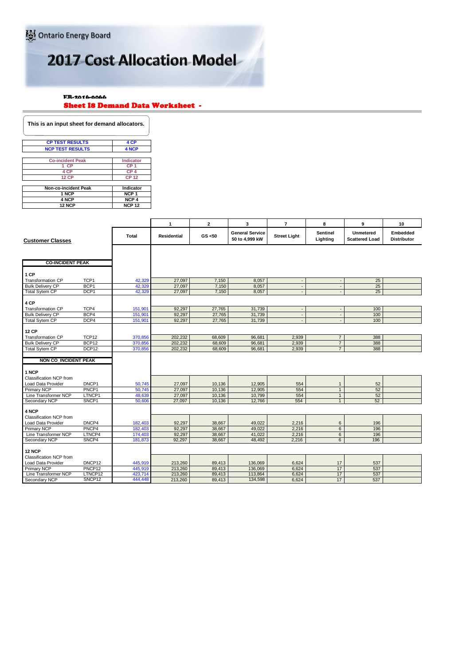EB-2016-0066

#### Sheet I8 Demand Data Worksheet -

| This is an input sheet for demand allocators. |                  |
|-----------------------------------------------|------------------|
| <b>CP TEST RESULTS</b>                        | 4 CP             |
| <b>NCP TEST RESULTS</b>                       | 4 NCP            |
| <b>Co-incident Peak</b>                       | Indicator        |
| 1 CP                                          | CP <sub>1</sub>  |
| 4 CP                                          | CP <sub>4</sub>  |
| <b>12 CP</b>                                  | <b>CP 12</b>     |
|                                               |                  |
| <b>Non-co-incident Peak</b>                   | Indicator        |
| 1 NCP                                         | NCP <sub>1</sub> |
| 4 NCP                                         | NCP <sub>4</sub> |
| <b>12 NCP</b>                                 | <b>NCP 12</b>    |

|                             |                    |         | $\mathbf{1}$       | $\overline{2}$ | 3                                        | $\overline{7}$           | 8                           | 9                                         | 10                             |
|-----------------------------|--------------------|---------|--------------------|----------------|------------------------------------------|--------------------------|-----------------------------|-------------------------------------------|--------------------------------|
| <b>Customer Classes</b>     |                    | Total   | <b>Residential</b> | GS < 50        | <b>General Service</b><br>50 to 4.999 kW | <b>Street Light</b>      | <b>Sentinel</b><br>Lighting | <b>Unmetered</b><br><b>Scattered Load</b> | Embedded<br><b>Distributor</b> |
|                             |                    |         |                    |                |                                          |                          |                             |                                           |                                |
| <b>CO-INCIDENT PEAK</b>     |                    |         |                    |                |                                          |                          |                             |                                           |                                |
| 1 CP                        |                    |         |                    |                |                                          |                          |                             |                                           |                                |
| <b>Transformation CP</b>    | TCP <sub>1</sub>   | 42,329  | 27.097             | 7,150          | 8,057                                    | $\sim$                   |                             | 25                                        |                                |
| <b>Bulk Delivery CP</b>     | BCP <sub>1</sub>   | 42,329  | 27,097             | 7,150          | 8,057                                    | $\Box$                   | $\blacksquare$              | 25                                        |                                |
| <b>Total Sytem CP</b>       | DCP1               | 42,329  | 27,097             | 7,150          | 8,057                                    |                          |                             | 25                                        |                                |
| 4 CP                        |                    |         |                    |                |                                          |                          |                             |                                           |                                |
| <b>Transformation CP</b>    | TCP4               | 151,901 | 92,297             | 27,765         | 31,739                                   | $\overline{\phantom{a}}$ | $\sim$                      | 100                                       |                                |
| <b>Bulk Delivery CP</b>     | BCP4               | 151,901 | 92,297             | 27,765         | 31,739                                   | $\sim$                   | $\blacksquare$              | 100                                       |                                |
| <b>Total Sytem CP</b>       | DCP4               | 151,901 | 92.297             | 27,765         | 31,739                                   | $\overline{\phantom{a}}$ |                             | 100                                       |                                |
|                             |                    |         |                    |                |                                          |                          |                             |                                           |                                |
| <b>12 CP</b>                |                    |         |                    |                |                                          |                          |                             |                                           |                                |
| Transformation CP           | TCP <sub>12</sub>  | 370,856 | 202,232            | 68,609         | 96,681                                   | 2,939                    | $\overline{7}$              | 388                                       |                                |
| <b>Bulk Delivery CP</b>     | BCP <sub>12</sub>  | 370,856 | 202,232            | 68,609         | 96,681                                   | 2,939                    | $\overline{7}$              | 388                                       |                                |
| <b>Total Sytem CP</b>       | DCP <sub>12</sub>  | 370,856 | 202,232            | 68,609         | 96,681                                   | 2,939                    | $\overline{7}$              | 388                                       |                                |
|                             |                    |         |                    |                |                                          |                          |                             |                                           |                                |
| <b>NON CO INCIDENT PEAK</b> |                    |         |                    |                |                                          |                          |                             |                                           |                                |
|                             |                    |         |                    |                |                                          |                          |                             |                                           |                                |
| 1 NCP                       |                    |         |                    |                |                                          |                          |                             |                                           |                                |
| Classification NCP from     |                    |         |                    |                |                                          |                          |                             |                                           |                                |
| Load Data Provider          | DNCP1              | 50,745  | 27,097             | 10,136         | 12,905                                   | 554                      | $\mathbf{1}$                | 52                                        |                                |
| <b>Primary NCP</b>          | PNCP <sub>1</sub>  | 50,745  | 27,097             | 10,136         | 12.905                                   | 554                      | $\overline{1}$              | 52                                        |                                |
| Line Transformer NCP        | LTNCP1             | 48,639  | 27,097             | 10,136         | 10,799                                   | 554                      | 1                           | 52                                        |                                |
| Secondary NCP               | SNCP1              | 50,606  | 27,097             | 10,136         | 12,766                                   | 554                      | $\mathbf{1}$                | 52                                        |                                |
|                             |                    |         |                    |                |                                          |                          |                             |                                           |                                |
| 4 NCP                       |                    |         |                    |                |                                          |                          |                             |                                           |                                |
| Classification NCP from     |                    |         |                    |                |                                          |                          |                             |                                           |                                |
| Load Data Provider          | DNCP4              | 182,403 | 92,297             | 38,667         | 49,022                                   | 2,216                    | 6                           | 196<br>196                                |                                |
| <b>Primary NCP</b>          | PNCP4              | 182,403 | 92,297             | 38,667         | 49,022                                   | 2,216                    | 6                           |                                           |                                |
| Line Transformer NCP        | LTNCP4             | 174,403 | 92,297             | 38,667         | 41,022                                   | 2,216<br>2.216           | $6\overline{6}$             | 196<br>196                                |                                |
| Secondary NCP               | SNCP4              | 181,873 | 92.297             | 38.667         | 48,492                                   |                          | 6                           |                                           |                                |
| <b>12 NCP</b>               |                    |         |                    |                |                                          |                          |                             |                                           |                                |
| Classification NCP from     |                    |         |                    |                |                                          |                          |                             |                                           |                                |
| Load Data Provider          | DNCP12             | 445,919 | 213,260            | 89,413         | 136,069                                  | 6,624                    | 17                          | 537                                       |                                |
| <b>Primary NCP</b>          | PNCP <sub>12</sub> | 445,919 | 213,260            | 89,413         | 136,069                                  | 6,624                    | 17                          | 537                                       |                                |
| Line Transformer NCP        | LTNCP12            | 423,714 | 213,260            | 89.413         | 113,864                                  | 6.624                    | 17                          | 537                                       |                                |
| Secondary NCP               | SNCP <sub>12</sub> | 444,448 | 213,260            | 89,413         | 134,598                                  | 6.624                    | 17                          | 537                                       |                                |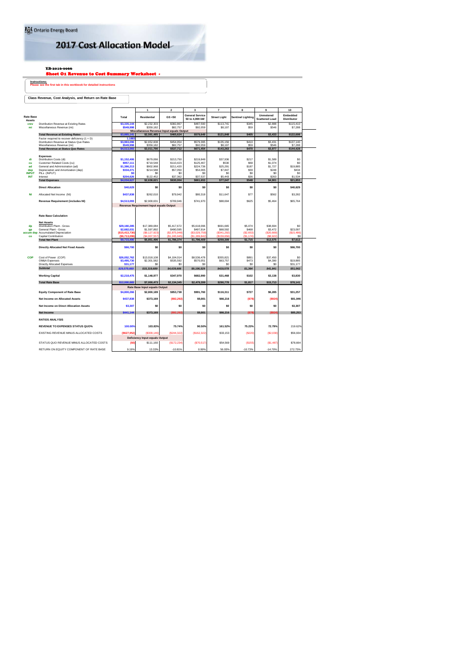#### <sup>EB-2016-0066</sup><br><mark>Sheet O1 Revenue to Cost Summary Worksheet -</mark>

**Instructions: Please see the first tab in this workbook for detailed instructions**

#### **Class Revenue, Cost Analysis, and Return on Rate Base**

|                                   |                                                                        |                          | $\overline{1}$                          | $\overline{2}$                                        | 3                      | $\overline{7}$       | 8                        | 9                     | 10                    |
|-----------------------------------|------------------------------------------------------------------------|--------------------------|-----------------------------------------|-------------------------------------------------------|------------------------|----------------------|--------------------------|-----------------------|-----------------------|
|                                   |                                                                        |                          |                                         |                                                       | <b>General Service</b> |                      |                          | <b>Unmetered</b>      | Embedded              |
| <b>Rate Base</b><br><b>Assets</b> |                                                                        | Total                    | <b>Residential</b>                      | GS < 50                                               | 50 to 4,999 kW         | <b>Street Light</b>  | <b>Sentinel Lighting</b> | <b>Scattered Load</b> | <b>Distributor</b>    |
| crev                              | Distribution Revenue at Existing Rates                                 | \$3,335,144              | \$2,232,303                             | \$382,867                                             | \$487,590              | \$113,741            | \$345                    | \$2,888               | \$115,410             |
| mi                                | Miscellaneous Revenue (mi)                                             | \$549,998                | \$359.182                               | \$82,757<br>Miscellaneous Revenue Input equals Output | \$92,059               | S8.107               | \$59                     | \$546                 | S7.288                |
|                                   | <b>Total Revenue at Existing Rates</b>                                 | \$3,885.141              | \$2,591,485                             | \$465,624                                             | \$579,649              | \$121,848            | \$405                    | \$3,433               | \$122,698             |
|                                   | Factor required to recover deficiency (1 + D)                          | 1.188                    |                                         |                                                       |                        |                      |                          |                       |                       |
|                                   | Distribution Revenue at Status Quo Rates                               | \$3,963,096              | \$2,652,608                             | \$454,954                                             | \$579,395              | \$135,156            | \$410                    | S3.431                | \$137,140             |
|                                   | Miscellaneous Revenue (mi)<br><b>Total Revenue at Status Quo Rates</b> | \$549,998<br>\$4,513,093 | \$359,182<br>\$3,011,790                | \$82,757<br>\$537,712                                 | \$92,059<br>\$671,454  | \$8,107<br>\$143,263 | \$59<br>\$470            | \$546<br>\$3,977      | \$7,288<br>\$144,428  |
|                                   |                                                                        |                          |                                         |                                                       |                        |                      |                          |                       |                       |
|                                   | <b>Expenses</b>                                                        |                          |                                         |                                                       |                        |                      |                          |                       |                       |
| di                                | Distribution Costs (di)<br>Customer Related Costs (cu)                 | \$1,152,406<br>\$957,111 | \$679,066<br>\$719,548                  | \$213,750<br>\$110,423                                | \$219,848<br>\$125,467 | \$37,936<br>\$530    | \$217<br>\$69            | \$1,589<br>\$1,074    | S <sub>0</sub><br>\$O |
| cu<br>ad                          | General and Administration (ad)                                        | \$1,386,213              | \$902,968                               | \$211.420                                             | \$224,736              | \$25.291             | \$187                    | \$1,727               | \$19,885              |
| dep                               | Depreciation and Amortization (dep)                                    | \$334,271                | \$214,588                               | \$57,050                                              | \$54,065               | S7.847               | \$39                     | \$248                 | \$434                 |
| <b>INPUT</b>                      | PILs (INPUT)                                                           | \$0                      | \$0                                     | \$0                                                   | S <sub>0</sub>         | S <sub>0</sub>       | \$0                      | S <sub>0</sub>        | \$0                   |
| INT                               | Interest                                                               | \$204,626                | \$122.452                               | \$37,362                                              | \$37,537               | S5.443               | \$36                     | \$263                 | S1.534                |
|                                   | <b>Total Expenses</b>                                                  | 4.034.627                | \$2,638,621                             | \$630,004                                             | \$661,653              | \$77,047             | \$548                    | \$4,901               | \$21,853              |
|                                   | <b>Direct Allocation</b>                                               | \$40,629                 | \$0                                     | \$0                                                   | \$0                    | \$O                  | \$0                      | \$0                   | \$40,629              |
|                                   |                                                                        |                          |                                         |                                                       |                        |                      |                          |                       |                       |
| NI                                | Allocated Net Income (NI)                                              | \$437,838                | \$262.010                               | \$79,942                                              | \$80,318               | \$11,647             | \$77                     | \$562                 | \$3,282               |
|                                   | Revenue Requirement (includes NI)                                      | \$4,513,093              | \$2,900,631                             | \$709,946                                             | \$741,970              | \$88,694             | \$625                    | \$5,464               | \$65,764              |
|                                   |                                                                        |                          | Revenue Requirement Input equals Output |                                                       |                        |                      |                          |                       |                       |
|                                   |                                                                        |                          |                                         |                                                       |                        |                      |                          |                       |                       |
|                                   | <b>Rate Base Calculation</b>                                           |                          |                                         |                                                       |                        |                      |                          |                       |                       |
|                                   | <b>Net Assets</b>                                                      |                          |                                         |                                                       |                        |                      |                          |                       |                       |
| dp                                | Distribution Plant - Gross                                             | \$29,160,285             | \$17,389,084                            | \$5,417,672                                           | \$5,618,096            | \$691,665            | \$5.074                  | \$38,694              | S <sub>0</sub>        |
| gp                                | General Plant - Gross                                                  | \$2,682.031              | \$1,597.892                             | \$490,595                                             | \$497.914              | \$68,592             | \$468                    | S3.472                | \$23,097              |
|                                   | accum dep Accumulated Depreciation                                     | (\$15,413,730            | (\$9.127.923                            | (\$2,875,948)                                         | (\$3,029,759           | (\$341.292           | (\$2.653)                | (\$20,669             | (\$15,486)            |
| co                                | Capital Contribution                                                   | (\$6,713,09)             | S4 007 55                               | (\$1.245.945)                                         | (\$1.289.84)           | (\$159.65)           | (\$1.174                 | (SR 92)               | \$0                   |
|                                   | <b>Total Net Plant</b>                                                 | \$9,715,490              | \$5,851,496                             | \$1,786,374                                           | \$1,796,409            | \$259,309            | \$1,715                  | \$12,575              | \$7,612               |
|                                   | <b>Directly Allocated Net Fixed Assets</b>                             | \$66,700                 | \$0                                     | \$0                                                   | \$0                    | \$0                  | S <sub>0</sub>           | \$0                   | \$66,700              |
|                                   |                                                                        |                          |                                         |                                                       |                        |                      |                          |                       |                       |
| <b>COP</b>                        | Cost of Power (COP)                                                    | \$26,052,762             | \$13,018,108                            | \$4,104,014                                           | \$8,536,478            | \$355,821            | \$891                    | \$37,450              | \$0                   |
|                                   | OM&A Expenses                                                          | \$3,495,730              | \$2,301,582                             | \$535,592                                             | \$570,051              | \$63,757             | \$473                    | \$4,390               | \$19,885              |
|                                   | Directly Allocated Expenses                                            | \$31.177                 | \$0                                     | S <sub>0</sub>                                        | S <sub>0</sub>         | S <sub>0</sub>       | S <sub>0</sub>           | S <sub>0</sub>        | \$31.177              |
|                                   | <b>Subtotal</b>                                                        | \$29,579,669             | \$15,319,689                            | \$4,639,606                                           | \$9,106,529            | \$419,578            | \$1,364                  | \$41,841              | \$51,062              |
|                                   |                                                                        |                          |                                         |                                                       |                        |                      |                          |                       |                       |
|                                   | <b>Working Capital</b>                                                 | \$2,218,475              | \$1,148,977                             | \$347,970                                             | \$682,990              | \$31,468             | \$102                    | \$3,138               | \$3,830               |
|                                   | <b>Total Rate Base</b>                                                 | \$12,000.665             | \$7,000,473                             | \$2,134,345                                           | \$2,479,399            | \$290,778            | \$1,817                  | \$15,713              | \$78.141              |
|                                   |                                                                        |                          | Rate Base Input equals Output           |                                                       |                        |                      |                          |                       |                       |
|                                   | <b>Equity Component of Rate Base</b>                                   | \$4,800,266              | \$2,800.189                             | \$853,738                                             | \$991,760              | \$116,311            | \$727                    | \$6,285               | \$31,257              |
|                                   | <b>Net Income on Allocated Assets</b>                                  | \$437,838                | \$373,169                               | (\$92,292                                             | \$9,801                | \$66,216             | (578)                    | (S924)                | \$81,946              |
|                                   | <b>Net Income on Direct Allocation Assets</b>                          | \$3,307                  | \$0                                     | \$0                                                   | \$O                    | S <sub>0</sub>       | S <sub>0</sub>           | \$0                   | \$3,307               |
|                                   |                                                                        |                          |                                         |                                                       |                        |                      |                          |                       |                       |
|                                   | <b>Net Income</b>                                                      | <b>S441.144</b>          | \$373,169                               | (\$92.292                                             | \$9,801                | \$66,216             | (S78)                    | (\$92)                | \$85.253              |
|                                   | <b>RATIOS ANALYSIS</b>                                                 |                          |                                         |                                                       |                        |                      |                          |                       |                       |
|                                   | <b>REVENUE TO EXPENSES STATUS QUO%</b>                                 | 100.00%                  | 103.83%                                 | 75.74%                                                | 90.50%                 | 161.52%              | 75.23%                   | 72.79%                | 219.62%               |
|                                   | EXISTING REVENUE MINUS ALLOCATED COSTS                                 | (\$627,952]              | (\$309,146)                             | \$244,322                                             | (\$162,322)            | \$33,153             | (S220)                   | (S2,030)              | \$56,934              |
|                                   |                                                                        |                          | <b>Deficiency Input equals Output</b>   |                                                       |                        |                      |                          |                       |                       |
|                                   | STATUS QUO REVENUE MINUS ALLOCATED COSTS                               | (SO)                     | \$111,160                               | (\$172,234                                            | (\$70,517              | \$54,569             | (\$155                   | (S1, 487)             | \$78,664              |
|                                   |                                                                        |                          |                                         |                                                       |                        |                      |                          |                       |                       |
|                                   | RETURN ON EQUITY COMPONENT OF RATE BASE                                | 9 1 9%                   | 13.33%                                  | $-10.81%$                                             | 0.99%                  | 56.93%               | $-10.73%$                | $-14.70%$             | 272.75%               |